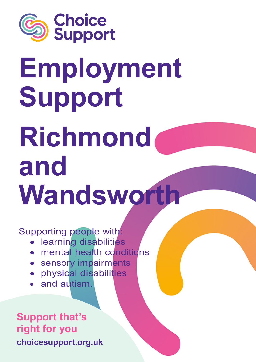

# **Employment Support Richmond and Wandsworth**

Supporting people with:

- learning disabilities
- mental health conditions
- sensory impairments
- physical disabilities
- and autism.

## **Support that's** right for you choicesupport.org.uk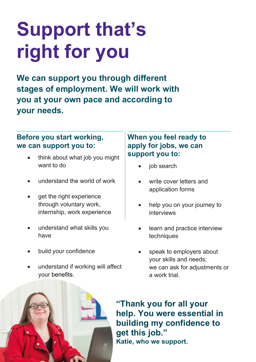# **Support that's right for you**

**We can support you through different stages of employment. We will work with you at your own pace and according to your needs.**

#### **Before you start working, we can support you to:**

- think about what job you might want to do
- understand the world of work
- get the right experience through voluntary work, internship, work experience
- understand what skills you have
- build your confidence
- understand if working will affect your benefits.

#### **When you feel ready to apply for jobs, we can support you to:**

- job search
- write cover letters and application forms
- help you on your journey to interviews
- learn and practice interview techniques
- speak to employers about your skills and needs; we can ask for adjustments or a work trial.



**"Thank you for all your help. You were essential in building my confidence to get this job." Katie, who we support.**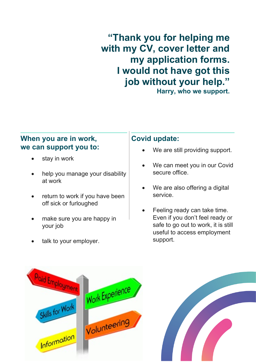### Click to add image here. **job without your help." "Thank you for helping me with my CV, cover letter and my application forms. I would not have got this**

**Harry, who we support.**

#### **When you are in work, we can support you to:**

- stay in work
- help you manage your disability at work
- return to work if you have been off sick or furloughed
- make sure you are happy in your job
- talk to your employer.

#### **Covid update:**

- We are still providing support.
- We can meet you in our Covid secure office.
- We are also offering a digital service.
- Feeling ready can take time. Even if you don't feel ready or safe to go out to work, it is still useful to access employment support.